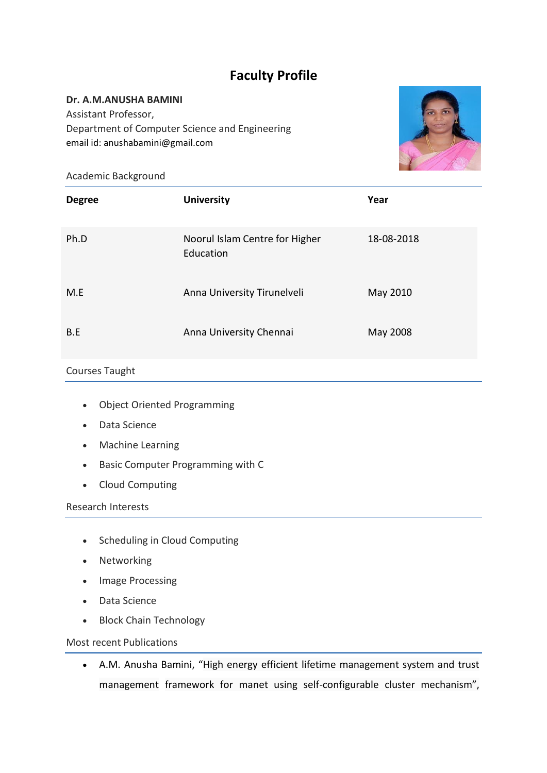# **Faculty Profile**

## **Dr. A.M.ANUSHA BAMINI**

Assistant Professor, Department of Computer Science and Engineering email id: anushabamini@gmail.com



Academic Background

| <b>Degree</b> | <b>University</b>                           | Year       |
|---------------|---------------------------------------------|------------|
| Ph.D          | Noorul Islam Centre for Higher<br>Education | 18-08-2018 |
| M.E           | Anna University Tirunelveli                 | May 2010   |
| B.E           | Anna University Chennai                     | May 2008   |

## Courses Taught

- Object Oriented Programming
- Data Science
- Machine Learning
- Basic Computer Programming with C
- Cloud Computing

### Research Interests

- Scheduling in Cloud Computing
- Networking
- Image Processing
- Data Science
- Block Chain Technology

### Most recent Publications

• A.M. Anusha Bamini, "High energy efficient lifetime management system and trust management framework for manet using self-configurable cluster mechanism",